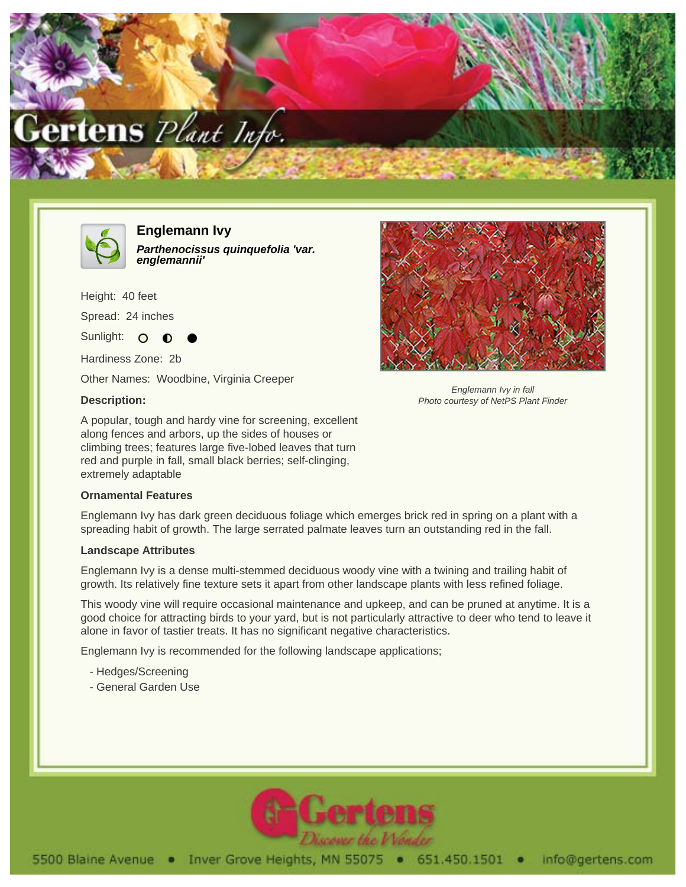



**Englemann Ivy Parthenocissus quinquefolia 'var. englemannii'**

Height: 40 feet

Spread: 24 inches

Sunlight: O

Hardiness Zone: 2b

Other Names: Woodbine, Virginia Creeper

## **Description:**

A popular, tough and hardy vine for screening, excellent along fences and arbors, up the sides of houses or climbing trees; features large five-lobed leaves that turn red and purple in fall, small black berries; self-clinging, extremely adaptable

## **Ornamental Features**

Englemann Ivy has dark green deciduous foliage which emerges brick red in spring on a plant with a spreading habit of growth. The large serrated palmate leaves turn an outstanding red in the fall.

## **Landscape Attributes**

Englemann Ivy is a dense multi-stemmed deciduous woody vine with a twining and trailing habit of growth. Its relatively fine texture sets it apart from other landscape plants with less refined foliage.

This woody vine will require occasional maintenance and upkeep, and can be pruned at anytime. It is a good choice for attracting birds to your yard, but is not particularly attractive to deer who tend to leave it alone in favor of tastier treats. It has no significant negative characteristics.

Englemann Ivy is recommended for the following landscape applications;

- Hedges/Screening
- General Garden Use



Englemann Ivy in fall Photo courtesy of NetPS Plant Finder